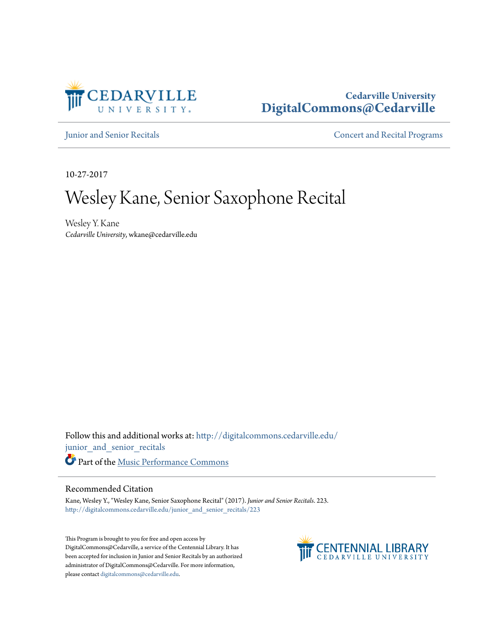

# **Cedarville University [DigitalCommons@Cedarville](http://digitalcommons.cedarville.edu?utm_source=digitalcommons.cedarville.edu%2Fjunior_and_senior_recitals%2F223&utm_medium=PDF&utm_campaign=PDFCoverPages)**

[Junior and Senior Recitals](http://digitalcommons.cedarville.edu/junior_and_senior_recitals?utm_source=digitalcommons.cedarville.edu%2Fjunior_and_senior_recitals%2F223&utm_medium=PDF&utm_campaign=PDFCoverPages) **[Concert and Recital Programs](http://digitalcommons.cedarville.edu/concert_and_recital_programs?utm_source=digitalcommons.cedarville.edu%2Fjunior_and_senior_recitals%2F223&utm_medium=PDF&utm_campaign=PDFCoverPages)** 

10-27-2017

# Wesley Kane, Senior Saxophone Recital

Wesley Y. Kane *Cedarville University*, wkane@cedarville.edu

Follow this and additional works at: [http://digitalcommons.cedarville.edu/](http://digitalcommons.cedarville.edu/junior_and_senior_recitals?utm_source=digitalcommons.cedarville.edu%2Fjunior_and_senior_recitals%2F223&utm_medium=PDF&utm_campaign=PDFCoverPages) [junior\\_and\\_senior\\_recitals](http://digitalcommons.cedarville.edu/junior_and_senior_recitals?utm_source=digitalcommons.cedarville.edu%2Fjunior_and_senior_recitals%2F223&utm_medium=PDF&utm_campaign=PDFCoverPages) Part of the [Music Performance Commons](http://network.bepress.com/hgg/discipline/1128?utm_source=digitalcommons.cedarville.edu%2Fjunior_and_senior_recitals%2F223&utm_medium=PDF&utm_campaign=PDFCoverPages)

#### Recommended Citation

Kane, Wesley Y., "Wesley Kane, Senior Saxophone Recital" (2017). *Junior and Senior Recitals*. 223. [http://digitalcommons.cedarville.edu/junior\\_and\\_senior\\_recitals/223](http://digitalcommons.cedarville.edu/junior_and_senior_recitals/223?utm_source=digitalcommons.cedarville.edu%2Fjunior_and_senior_recitals%2F223&utm_medium=PDF&utm_campaign=PDFCoverPages)

This Program is brought to you for free and open access by DigitalCommons@Cedarville, a service of the Centennial Library. It has been accepted for inclusion in Junior and Senior Recitals by an authorized administrator of DigitalCommons@Cedarville. For more information, please contact [digitalcommons@cedarville.edu.](mailto:digitalcommons@cedarville.edu)

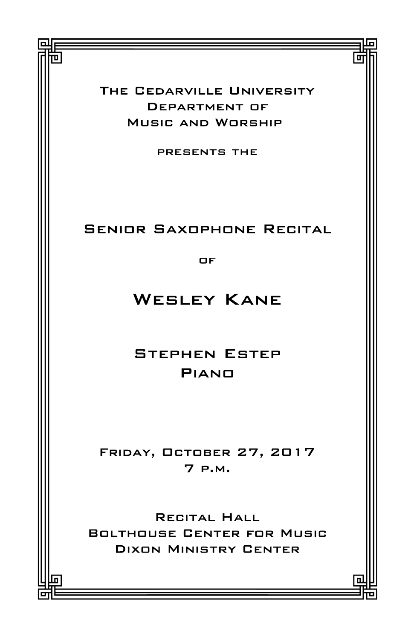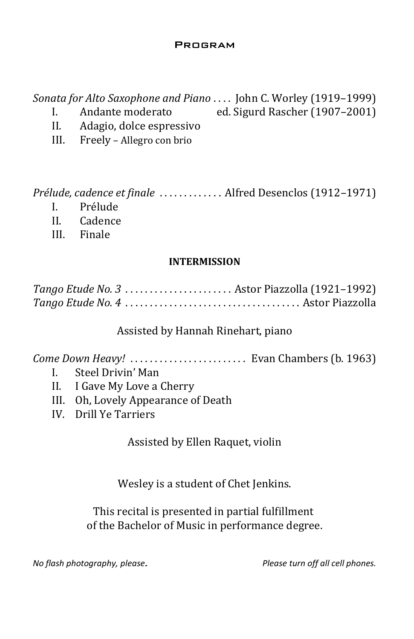#### **PROGRAM**

Sonata for Alto Saxophone and Piano . . . . John C. Worley (1919–1999)

- I. Andante moderato ed. Sigurd Rascher (1907–2001)
- II. Adagio, dolce espressivo
- III. Freely Allegro con brio

Prélude, cadence et finale . . . . . . . . . . . . . Alfred Desenclos (1912–1971)

- I. Prélude
- II. Cadence
- III. Finale

#### INTERMISSION

| Tango Etude No. 3  Astor Piazzolla (1921-1992) |
|------------------------------------------------|
|                                                |

## Assisted by Hannah Rinehart, piano

Come Down Heavy! . . . . . . . . . . . . . . . . . . . . . . . . Evan Chambers (b. 1963)

- I. Steel Drivin' Man
- II. I Gave My Love a Cherry
- III. Oh, Lovely Appearance of Death
- IV. Drill Ye Tarriers

Assisted by Ellen Raquet, violin

Wesley is a student of Chet Jenkins.

This recital is presented in partial fulfillment of the Bachelor of Music in performance degree.

No flash photography, please. The same prediction of the Please turn off all cell phones.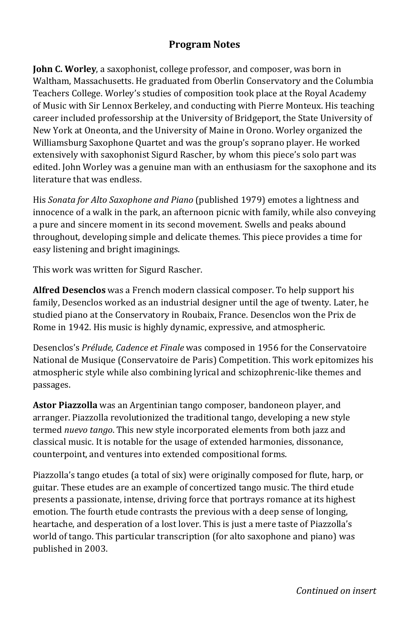#### Program Notes

John C. Worley, a saxophonist, college professor, and composer, was born in Waltham, Massachusetts. He graduated from Oberlin Conservatory and the Columbia Teachers College. Worley's studies of composition took place at the Royal Academy of Music with Sir Lennox Berkeley, and conducting with Pierre Monteux. His teaching career included professorship at the University of Bridgeport, the State University of New York at Oneonta, and the University of Maine in Orono. Worley organized the Williamsburg Saxophone Quartet and was the group's soprano player. He worked extensively with saxophonist Sigurd Rascher, by whom this piece's solo part was edited. John Worley was a genuine man with an enthusiasm for the saxophone and its literature that was endless.

His Sonata for Alto Saxophone and Piano (published 1979) emotes a lightness and innocence of a walk in the park, an afternoon picnic with family, while also conveying a pure and sincere moment in its second movement. Swells and peaks abound throughout, developing simple and delicate themes. This piece provides a time for easy listening and bright imaginings.

This work was written for Sigurd Rascher.

Alfred Desenclos was a French modern classical composer. To help support his family, Desenclos worked as an industrial designer until the age of twenty. Later, he studied piano at the Conservatory in Roubaix, France. Desenclos won the Prix de Rome in 1942. His music is highly dynamic, expressive, and atmospheric.

Desenclos's Prélude, Cadence et Finale was composed in 1956 for the Conservatoire National de Musique (Conservatoire de Paris) Competition. This work epitomizes his atmospheric style while also combining lyrical and schizophrenic-like themes and passages.

Astor Piazzolla was an Argentinian tango composer, bandoneon player, and arranger. Piazzolla revolutionized the traditional tango, developing a new style termed nuevo tango. This new style incorporated elements from both jazz and classical music. It is notable for the usage of extended harmonies, dissonance, counterpoint, and ventures into extended compositional forms.

Piazzolla's tango etudes (a total of six) were originally composed for flute, harp, or guitar. These etudes are an example of concertized tango music. The third etude presents a passionate, intense, driving force that portrays romance at its highest emotion. The fourth etude contrasts the previous with a deep sense of longing, heartache, and desperation of a lost lover. This is just a mere taste of Piazzolla's world of tango. This particular transcription (for alto saxophone and piano) was published in 2003.

Continued on insert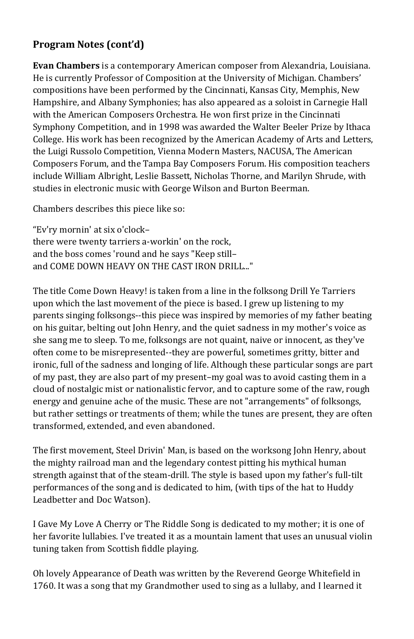## Program Notes (cont'd)

Evan Chambers is a contemporary American composer from Alexandria, Louisiana. He is currently Professor of Composition at the University of Michigan. Chambers' compositions have been performed by the Cincinnati, Kansas City, Memphis, New Hampshire, and Albany Symphonies; has also appeared as a soloist in Carnegie Hall with the American Composers Orchestra. He won first prize in the Cincinnati Symphony Competition, and in 1998 was awarded the Walter Beeler Prize by Ithaca College. His work has been recognized by the American Academy of Arts and Letters, the Luigi Russolo Competition, Vienna Modern Masters, NACUSA, The American Composers Forum, and the Tampa Bay Composers Forum. His composition teachers include William Albright, Leslie Bassett, Nicholas Thorne, and Marilyn Shrude, with studies in electronic music with George Wilson and Burton Beerman.

Chambers describes this piece like so:

"Ev'ry mornin' at six o'clock– there were twenty tarriers a-workin' on the rock, and the boss comes 'round and he says "Keep still– and COME DOWN HEAVY ON THE CAST IRON DRILL..."

The title Come Down Heavy! is taken from a line in the folksong Drill Ye Tarriers upon which the last movement of the piece is based. I grew up listening to my parents singing folksongs--this piece was inspired by memories of my father beating on his guitar, belting out John Henry, and the quiet sadness in my mother's voice as she sang me to sleep. To me, folksongs are not quaint, naive or innocent, as they've often come to be misrepresented--they are powerful, sometimes gritty, bitter and ironic, full of the sadness and longing of life. Although these particular songs are part of my past, they are also part of my present–my goal was to avoid casting them in a cloud of nostalgic mist or nationalistic fervor, and to capture some of the raw, rough energy and genuine ache of the music. These are not "arrangements" of folksongs, but rather settings or treatments of them; while the tunes are present, they are often transformed, extended, and even abandoned.

The first movement, Steel Drivin' Man, is based on the worksong John Henry, about the mighty railroad man and the legendary contest pitting his mythical human strength against that of the steam-drill. The style is based upon my father's full-tilt performances of the song and is dedicated to him, (with tips of the hat to Huddy Leadbetter and Doc Watson).

I Gave My Love A Cherry or The Riddle Song is dedicated to my mother; it is one of her favorite lullabies. I've treated it as a mountain lament that uses an unusual violin tuning taken from Scottish fiddle playing.

Oh lovely Appearance of Death was written by the Reverend George Whitefield in 1760. It was a song that my Grandmother used to sing as a lullaby, and I learned it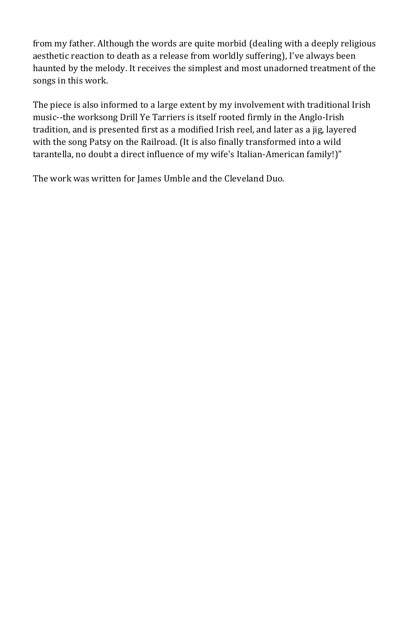from my father. Although the words are quite morbid (dealing with a deeply religious aesthetic reaction to death as a release from worldly suffering), I've always been haunted by the melody. It receives the simplest and most unadorned treatment of the songs in this work.

The piece is also informed to a large extent by my involvement with traditional Irish music--the worksong Drill Ye Tarriers is itself rooted firmly in the Anglo-Irish tradition, and is presented first as a modified Irish reel, and later as a jig, layered with the song Patsy on the Railroad. (It is also finally transformed into a wild tarantella, no doubt a direct influence of my wife's Italian-American family!)"

The work was written for James Umble and the Cleveland Duo.